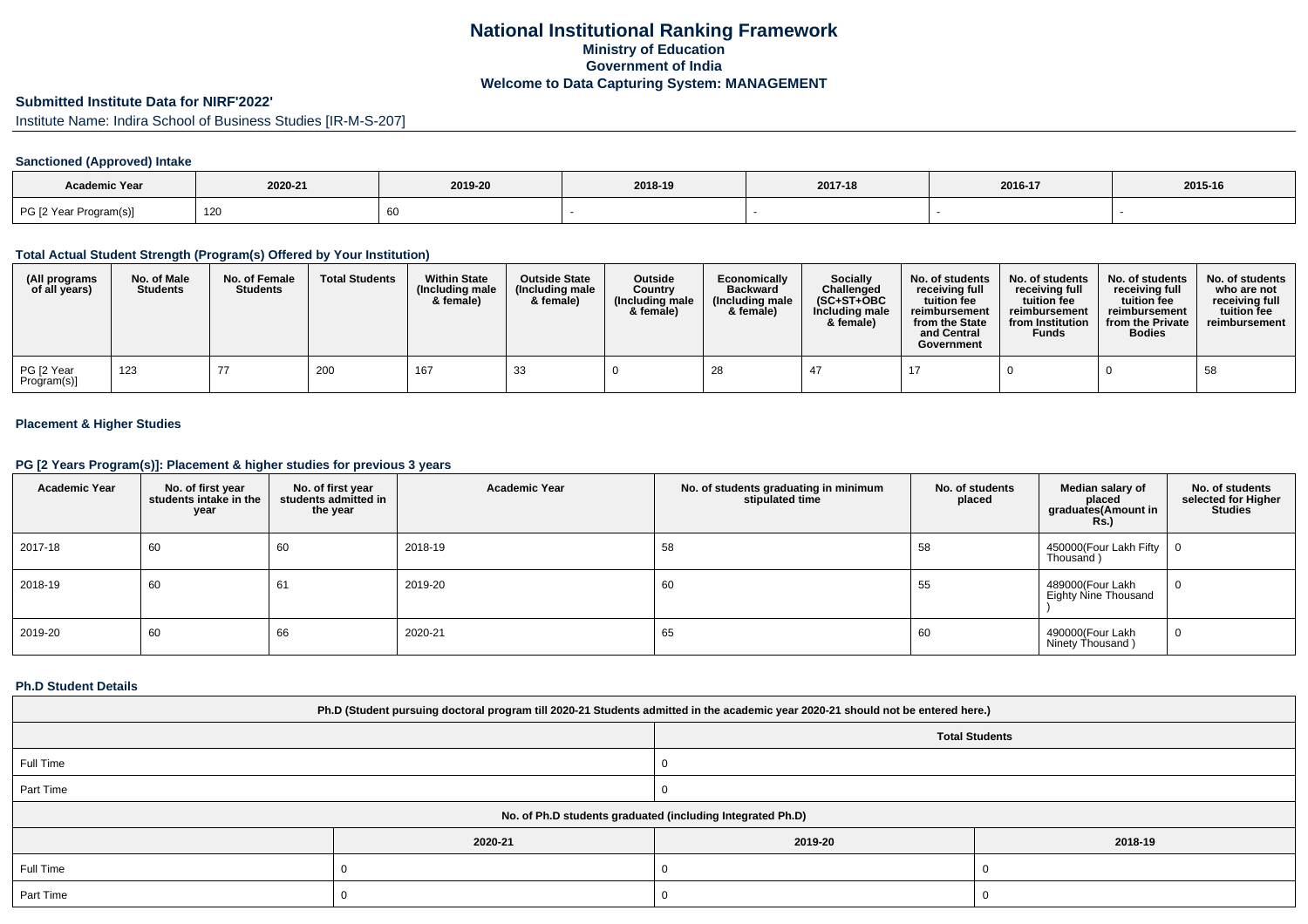## **National Institutional Ranking FrameworkMinistry of Education Government of IndiaWelcome to Data Capturing System: MANAGEMENT**

# **Submitted Institute Data for NIRF'2022'**

Institute Name: Indira School of Business Studies [IR-M-S-207]

## **Sanctioned (Approved) Intake**

| <b>Academic Year</b>   | 2020-21 | 2019-20 | 2018-19 | 2017-18 | 2016-17 | 2015-16 |
|------------------------|---------|---------|---------|---------|---------|---------|
| PG [2 Year Program(s)] | 120     |         |         |         |         |         |

### **Total Actual Student Strength (Program(s) Offered by Your Institution)**

| (All programs<br>of all years) | No. of Male<br><b>Students</b> | No. of Female<br><b>Students</b> | <b>Total Students</b> | <b>Within State</b><br>(Including male<br>& female) | <b>Outside State</b><br>(Including male)<br>& female) | <b>Outside</b><br>Country<br>(Including male<br>& female) | Economically<br><b>Backward</b><br>(Including male<br>& female) | <b>Socially</b><br>Challenged<br>$(SC+ST+OBC)$<br>Including male<br>& female) | No. of students<br>receivina full<br>tuition fee<br>reimbursement<br>from the State<br>and Central<br>Government | No. of students<br>receiving full<br>tuition fee<br>reimbursement<br>from Institution<br><b>Funds</b> | No. of students<br>receiving full<br>tuition fee<br>reimbursement<br>from the Private<br><b>Bodies</b> | No. of students<br>who are not<br>receiving full<br>tuition fee<br>reimbursement |
|--------------------------------|--------------------------------|----------------------------------|-----------------------|-----------------------------------------------------|-------------------------------------------------------|-----------------------------------------------------------|-----------------------------------------------------------------|-------------------------------------------------------------------------------|------------------------------------------------------------------------------------------------------------------|-------------------------------------------------------------------------------------------------------|--------------------------------------------------------------------------------------------------------|----------------------------------------------------------------------------------|
| PG [2 Year<br>Program(s)]      | 123                            |                                  | 200                   | 167                                                 | 33                                                    |                                                           | 28                                                              | -47                                                                           |                                                                                                                  |                                                                                                       |                                                                                                        | 58                                                                               |

## **Placement & Higher Studies**

## **PG [2 Years Program(s)]: Placement & higher studies for previous 3 years**

| <b>Academic Year</b> | No. of first year<br>students intake in the<br>year | No. of first year<br>students admitted in<br>the year | <b>Academic Year</b> | No. of students graduating in minimum<br>stipulated time | No. of students<br>placed | Median salary of<br>placed<br>graduates(Amount in<br><b>Rs.)</b> | No. of students<br>selected for Higher<br><b>Studies</b> |
|----------------------|-----------------------------------------------------|-------------------------------------------------------|----------------------|----------------------------------------------------------|---------------------------|------------------------------------------------------------------|----------------------------------------------------------|
| 2017-18              | 60                                                  | 60                                                    | 2018-19              | 58                                                       | 58                        | 450000(Four Lakh Fifty<br>Thousand)                              |                                                          |
| 2018-19              | 60                                                  | 61                                                    | 2019-20              | 60                                                       | 55                        | 489000(Four Lakh<br>Eighty Nine Thousand                         | 0                                                        |
| 2019-20              | 60                                                  | 66                                                    | 2020-21              | 65                                                       | 60                        | 490000(Four Lakh<br>Ninety Thousand)                             | 0                                                        |

### **Ph.D Student Details**

| Ph.D (Student pursuing doctoral program till 2020-21 Students admitted in the academic year 2020-21 should not be entered here.) |         |                       |         |  |  |  |
|----------------------------------------------------------------------------------------------------------------------------------|---------|-----------------------|---------|--|--|--|
|                                                                                                                                  |         | <b>Total Students</b> |         |  |  |  |
| Full Time                                                                                                                        |         |                       |         |  |  |  |
| Part Time                                                                                                                        |         |                       |         |  |  |  |
| No. of Ph.D students graduated (including Integrated Ph.D)                                                                       |         |                       |         |  |  |  |
|                                                                                                                                  | 2020-21 | 2019-20               | 2018-19 |  |  |  |
| Full Time                                                                                                                        |         |                       |         |  |  |  |
| Part Time                                                                                                                        |         |                       |         |  |  |  |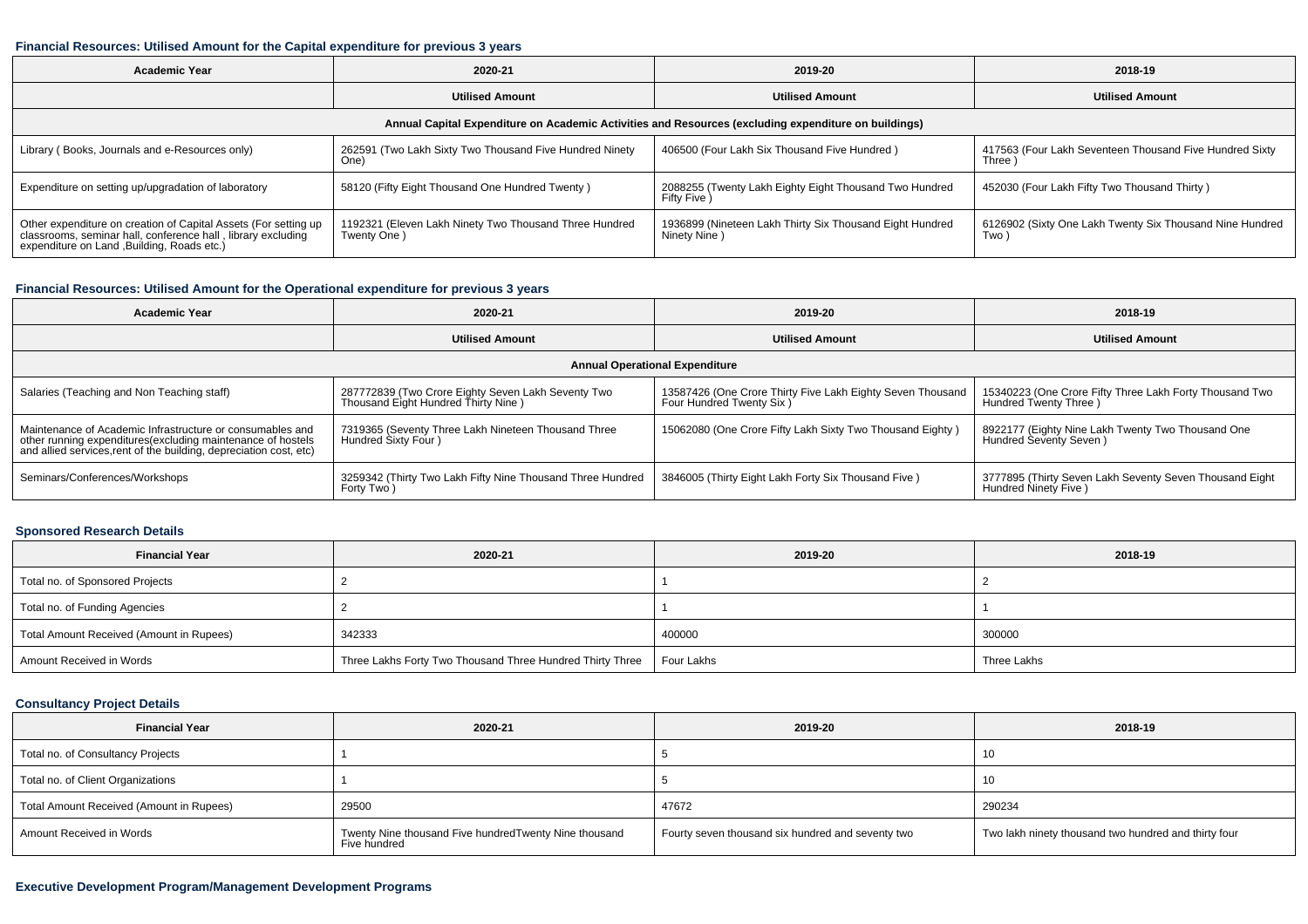#### **Financial Resources: Utilised Amount for the Capital expenditure for previous 3 years**

| Academic Year                                                                                                                                                                  | 2020-21                                                               | 2019-20                                                                  | 2018-19                                                            |  |  |  |  |  |
|--------------------------------------------------------------------------------------------------------------------------------------------------------------------------------|-----------------------------------------------------------------------|--------------------------------------------------------------------------|--------------------------------------------------------------------|--|--|--|--|--|
|                                                                                                                                                                                | <b>Utilised Amount</b>                                                | <b>Utilised Amount</b>                                                   | <b>Utilised Amount</b>                                             |  |  |  |  |  |
| Annual Capital Expenditure on Academic Activities and Resources (excluding expenditure on buildings)                                                                           |                                                                       |                                                                          |                                                                    |  |  |  |  |  |
| Library (Books, Journals and e-Resources only)                                                                                                                                 | 262591 (Two Lakh Sixty Two Thousand Five Hundred Ninety<br>One)       | 406500 (Four Lakh Six Thousand Five Hundred)                             | 417563 (Four Lakh Seventeen Thousand Five Hundred Sixty<br>Three ) |  |  |  |  |  |
| Expenditure on setting up/upgradation of laboratory                                                                                                                            | 58120 (Fifty Eight Thousand One Hundred Twenty)                       | 2088255 (Twenty Lakh Eighty Eight Thousand Two Hundred<br>Fifty Five )   | 452030 (Four Lakh Fifty Two Thousand Thirty)                       |  |  |  |  |  |
| Other expenditure on creation of Capital Assets (For setting up<br>classrooms, seminar hall, conference hall, library excluding<br>expenditure on Land , Building, Roads etc.) | 1192321 (Eleven Lakh Ninety Two Thousand Three Hundred<br>Twenty One) | 1936899 (Nineteen Lakh Thirty Six Thousand Eight Hundred<br>Ninety Nine) | 6126902 (Sixty One Lakh Twenty Six Thousand Nine Hundred<br>Two)   |  |  |  |  |  |

## **Financial Resources: Utilised Amount for the Operational expenditure for previous 3 years**

| <b>Academic Year</b>                                                                                                                                                                           | 2020-21                                                                                   | 2019-20                                                                                | 2018-19                                                                           |  |  |  |  |
|------------------------------------------------------------------------------------------------------------------------------------------------------------------------------------------------|-------------------------------------------------------------------------------------------|----------------------------------------------------------------------------------------|-----------------------------------------------------------------------------------|--|--|--|--|
|                                                                                                                                                                                                | <b>Utilised Amount</b>                                                                    |                                                                                        | <b>Utilised Amount</b>                                                            |  |  |  |  |
| <b>Annual Operational Expenditure</b>                                                                                                                                                          |                                                                                           |                                                                                        |                                                                                   |  |  |  |  |
| Salaries (Teaching and Non Teaching staff)                                                                                                                                                     | 287772839 (Two Crore Eighty Seven Lakh Seventy Two<br>Thousand Eight Hundred Thirty Nine) | 13587426 (One Crore Thirty Five Lakh Eighty Seven Thousand<br>Four Hundred Twenty Six) | 15340223 (One Crore Fifty Three Lakh Forty Thousand Two<br>Hundred Twenty Three ) |  |  |  |  |
| Maintenance of Academic Infrastructure or consumables and<br>other running expenditures(excluding maintenance of hostels<br>and allied services, rent of the building, depreciation cost, etc) | 7319365 (Seventy Three Lakh Nineteen Thousand Three<br>Hundred Sixty Four)                | 15062080 (One Crore Fifty Lakh Sixty Two Thousand Eighty)                              | 8922177 (Eighty Nine Lakh Twenty Two Thousand One<br>Hundred Seventy Seven)       |  |  |  |  |
| Seminars/Conferences/Workshops                                                                                                                                                                 | 3259342 (Thirty Two Lakh Fifty Nine Thousand Three Hundred<br>Forty Two)                  | 3846005 (Thirty Eight Lakh Forty Six Thousand Five)                                    | 3777895 (Thirty Seven Lakh Seventy Seven Thousand Eight<br>Hundred Ninety Five )  |  |  |  |  |

## **Sponsored Research Details**

| <b>Financial Year</b>                    | 2020-21                                                   | 2019-20    | 2018-19     |
|------------------------------------------|-----------------------------------------------------------|------------|-------------|
| Total no. of Sponsored Projects          |                                                           |            |             |
| Total no. of Funding Agencies            |                                                           |            |             |
| Total Amount Received (Amount in Rupees) | 342333                                                    | 400000     | 300000      |
| Amount Received in Words                 | Three Lakhs Forty Two Thousand Three Hundred Thirty Three | Four Lakhs | Three Lakhs |

## **Consultancy Project Details**

| <b>Financial Year</b>                    | 2020-21                                                               | 2019-20                                           | 2018-19                                              |
|------------------------------------------|-----------------------------------------------------------------------|---------------------------------------------------|------------------------------------------------------|
| Total no. of Consultancy Projects        |                                                                       |                                                   | 10                                                   |
| Total no. of Client Organizations        |                                                                       |                                                   | 10                                                   |
| Total Amount Received (Amount in Rupees) | 29500                                                                 | 47672                                             | 290234                                               |
| Amount Received in Words                 | Twenty Nine thousand Five hundredTwenty Nine thousand<br>Five hundred | Fourty seven thousand six hundred and seventy two | Two lakh ninety thousand two hundred and thirty four |